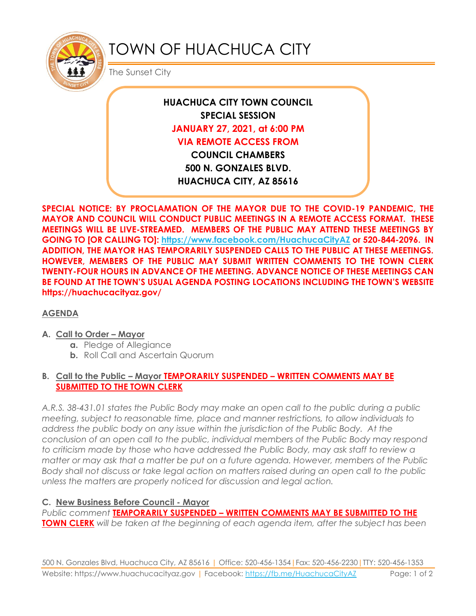

# TOWN OF HUACHUCA CITY

The Sunset City

**HUACHUCA CITY TOWN COUNCIL SPECIAL SESSION JANUARY 27, 2021, at 6:00 PM VIA REMOTE ACCESS FROM COUNCIL CHAMBERS 500 N. GONZALES BLVD. HUACHUCA CITY, AZ 85616**

**SPECIAL NOTICE: BY PROCLAMATION OF THE MAYOR DUE TO THE COVID-19 PANDEMIC, THE MAYOR AND COUNCIL WILL CONDUCT PUBLIC MEETINGS IN A REMOTE ACCESS FORMAT. THESE MEETINGS WILL BE LIVE-STREAMED. MEMBERS OF THE PUBLIC MAY ATTEND THESE MEETINGS BY GOING TO [OR CALLING TO]: <https://www.facebook.com/HuachucaCityAZ> or 520-844-2096. IN ADDITION, THE MAYOR HAS TEMPORARILY SUSPENDED CALLS TO THE PUBLIC AT THESE MEETINGS. HOWEVER, MEMBERS OF THE PUBLIC MAY SUBMIT WRITTEN COMMENTS TO THE TOWN CLERK TWENTY-FOUR HOURS IN ADVANCE OF THE MEETING. ADVANCE NOTICE OF THESE MEETINGS CAN BE FOUND AT THE TOWN'S USUAL AGENDA POSTING LOCATIONS INCLUDING THE TOWN'S WEBSITE https://huachucacityaz.gov/**

## **AGENDA**

#### **A. Call to Order – Mayor**

- **a.** Pledge of Allegiance
- **b.** Roll Call and Ascertain Quorum

#### **B. Call to the Public – Mayor TEMPORARILY SUSPENDED – WRITTEN COMMENTS MAY BE SUBMITTED TO THE TOWN CLERK**

*A.R.S. 38-431.01 states the Public Body may make an open call to the public during a public meeting, subject to reasonable time, place and manner restrictions, to allow individuals to address the public body on any issue within the jurisdiction of the Public Body. At the conclusion of an open call to the public, individual members of the Public Body may respond to criticism made by those who have addressed the Public Body, may ask staff to review a matter or may ask that a matter be put on a future agenda. However, members of the Public Body shall not discuss or take legal action on matters raised during an open call to the public unless the matters are properly noticed for discussion and legal action.*

#### **C. New Business Before Council - Mayor**

*Public comment* **TEMPORARILY SUSPENDED – WRITTEN COMMENTS MAY BE SUBMITTED TO THE TOWN CLERK** *will be taken at the beginning of each agenda item, after the subject has been*